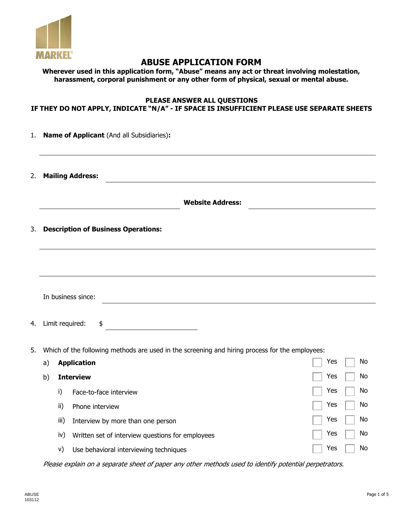

# **ABUSE APPLICATION FORM**

|  |  | Wherever used in this application form, "Abuse" means any act or threat involving molestation, |
|--|--|------------------------------------------------------------------------------------------------|
|  |  | harassment, corporal punishment or any other form of physical, sexual or mental abuse.         |

## **PLEASE ANSWER ALL QUESTIONS IF THEY DO NOT APPLY, INDICATE "N/A" - IF SPACE IS INSUFFICIENT PLEASE USE SEPARATE SHEETS**

| 1. |    |      | Name of Applicant (And all Subsidiaries):                                                      |           |
|----|----|------|------------------------------------------------------------------------------------------------|-----------|
| 2. |    |      | <b>Mailing Address:</b>                                                                        |           |
|    |    |      | <b>Website Address:</b>                                                                        |           |
| 3. |    |      | <b>Description of Business Operations:</b>                                                     |           |
|    |    |      |                                                                                                |           |
|    |    |      | In business since:                                                                             |           |
| 4. |    |      | Limit required:<br>\$                                                                          |           |
| 5. |    |      | Which of the following methods are used in the screening and hiring process for the employees: |           |
|    | a) |      | <b>Application</b>                                                                             | Yes<br>No |
|    | b) |      | <b>Interview</b>                                                                               | No<br>Yes |
|    |    | i)   | Face-to-face interview                                                                         | Yes<br>No |
|    |    | ii)  | Phone interview                                                                                | Yes<br>No |
|    |    | iii) | Interview by more than one person                                                              | No<br>Yes |
|    |    | iv)  | Written set of interview questions for employees                                               | No<br>Yes |
|    |    | V)   | Use behavioral interviewing techniques                                                         | Yes<br>No |

Please explain on a separate sheet of paper any other methods used to identify potential perpetrators.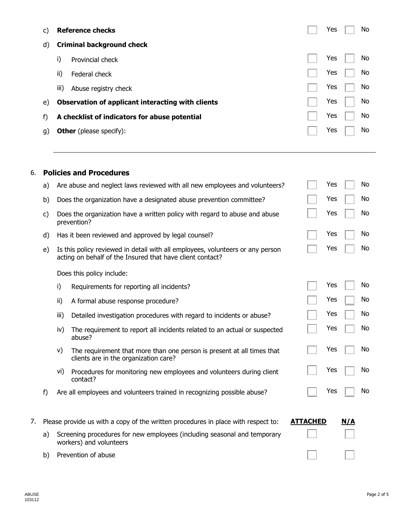| C) |                                | <b>Reference checks</b>                           |  | Yes | No. |
|----|--------------------------------|---------------------------------------------------|--|-----|-----|
| d) |                                | <b>Criminal background check</b>                  |  |     |     |
|    | i)                             | Provincial check                                  |  | Yes | No. |
|    | ii)                            | Federal check                                     |  | Yes | No. |
|    | iii)                           | Abuse registry check                              |  | Yes | No. |
| e) |                                | Observation of applicant interacting with clients |  | Yes | No. |
| f) |                                | A checklist of indicators for abuse potential     |  | Yes | No  |
| q) | <b>Other</b> (please specify): |                                                   |  |     | No. |
|    |                                |                                                   |  |     |     |

## 6. **Policies and Procedures**

|    | a) |      | Are abuse and neglect laws reviewed with all new employees and volunteers?                                                                  |                 | Yes |     | No  |
|----|----|------|---------------------------------------------------------------------------------------------------------------------------------------------|-----------------|-----|-----|-----|
|    | b) |      | Does the organization have a designated abuse prevention committee?                                                                         |                 | Yes |     | No  |
|    | c) |      | Does the organization have a written policy with regard to abuse and abuse<br>prevention?                                                   |                 | Yes |     | No  |
|    | d) |      | Has it been reviewed and approved by legal counsel?                                                                                         |                 | Yes |     | No  |
|    | e) |      | Is this policy reviewed in detail with all employees, volunteers or any person<br>acting on behalf of the Insured that have client contact? |                 | Yes |     | No  |
|    |    |      | Does this policy include:                                                                                                                   |                 |     |     |     |
|    |    | i)   | Requirements for reporting all incidents?                                                                                                   |                 | Yes |     | No  |
|    |    | ii)  | A formal abuse response procedure?                                                                                                          |                 | Yes |     | No  |
|    |    | iii) | Detailed investigation procedures with regard to incidents or abuse?                                                                        |                 | Yes |     | No. |
|    |    | iv)  | The requirement to report all incidents related to an actual or suspected<br>abuse?                                                         |                 | Yes |     | No  |
|    |    | V)   | The requirement that more than one person is present at all times that<br>clients are in the organization care?                             |                 | Yes |     | No  |
|    |    | vi)  | Procedures for monitoring new employees and volunteers during client<br>contact?                                                            |                 | Yes |     | No  |
|    | f) |      | Are all employees and volunteers trained in recognizing possible abuse?                                                                     |                 | Yes |     | No  |
| 7. |    |      | Please provide us with a copy of the written procedures in place with respect to:                                                           | <b>ATTACHED</b> |     | N/A |     |
|    | a) |      | Screening procedures for new employees (including seasonal and temporary<br>workers) and volunteers                                         |                 |     |     |     |
|    | b) |      | Prevention of abuse                                                                                                                         |                 |     |     |     |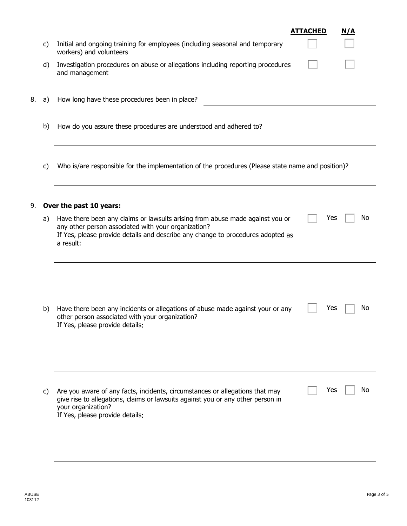|    | C) | Initial and ongoing training for employees (including seasonal and temporary<br>workers) and volunteers                                                                                                                              | <b>ATTACHED</b> | N/A |
|----|----|--------------------------------------------------------------------------------------------------------------------------------------------------------------------------------------------------------------------------------------|-----------------|-----|
|    | d) | Investigation procedures on abuse or allegations including reporting procedures<br>and management                                                                                                                                    |                 |     |
| 8. | a) | How long have these procedures been in place?                                                                                                                                                                                        |                 |     |
|    | b) | How do you assure these procedures are understood and adhered to?                                                                                                                                                                    |                 |     |
|    | C) | Who is/are responsible for the implementation of the procedures (Please state name and position)?                                                                                                                                    |                 |     |
| 9. |    | Over the past 10 years:                                                                                                                                                                                                              |                 |     |
|    | a) | Have there been any claims or lawsuits arising from abuse made against you or<br>any other person associated with your organization?<br>If Yes, please provide details and describe any change to procedures adopted as<br>a result: | Yes             | No  |
|    |    |                                                                                                                                                                                                                                      |                 |     |
|    | b) | Have there been any incidents or allegations of abuse made against your or any<br>other person associated with your organization?<br>If Yes, please provide details:                                                                 | Yes             | No  |
|    |    |                                                                                                                                                                                                                                      |                 |     |
|    | C) | Are you aware of any facts, incidents, circumstances or allegations that may<br>give rise to allegations, claims or lawsuits against you or any other person in<br>your organization?<br>If Yes, please provide details:             | Yes             | No  |
|    |    |                                                                                                                                                                                                                                      |                 |     |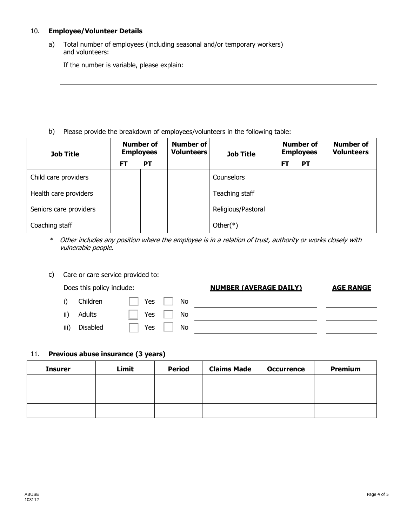### 10. **Employee/Volunteer Details**

a) Total number of employees (including seasonal and/or temporary workers) and volunteers:

If the number is variable, please explain:

b) Please provide the breakdown of employees/volunteers in the following table:

| <b>Job Title</b>       | <b>Number of</b><br><b>Employees</b> |    | Number of<br><b>Volunteers</b> | <b>Job Title</b>   | <b>Number of</b><br><b>Employees</b> |           | <b>Number of</b><br><b>Volunteers</b> |
|------------------------|--------------------------------------|----|--------------------------------|--------------------|--------------------------------------|-----------|---------------------------------------|
|                        | FT                                   | PТ |                                |                    | F1                                   | <b>PT</b> |                                       |
| Child care providers   |                                      |    |                                | Counselors         |                                      |           |                                       |
| Health care providers  |                                      |    |                                | Teaching staff     |                                      |           |                                       |
| Seniors care providers |                                      |    |                                | Religious/Pastoral |                                      |           |                                       |
| Coaching staff         |                                      |    |                                | Other $(*)$        |                                      |           |                                       |

- \* Other includes any position where the employee is in a relation of trust, authority or works closely with vulnerable people.
- c) Care or care service provided to:

## Does this policy include: **NUMBER (AVERAGE DAILY) AGE RANGE**

| i)   | Children | Yes<br>No          |  |
|------|----------|--------------------|--|
| ii)  | Adults   | Yes<br>No<br>_____ |  |
| iii) | Disabled | Yes<br>No          |  |

## 11. **Previous abuse insurance (3 years)**

| <b>Insurer</b> | Limit | <b>Period</b> | <b>Claims Made</b> | <b>Occurrence</b> | Premium |
|----------------|-------|---------------|--------------------|-------------------|---------|
|                |       |               |                    |                   |         |
|                |       |               |                    |                   |         |
|                |       |               |                    |                   |         |